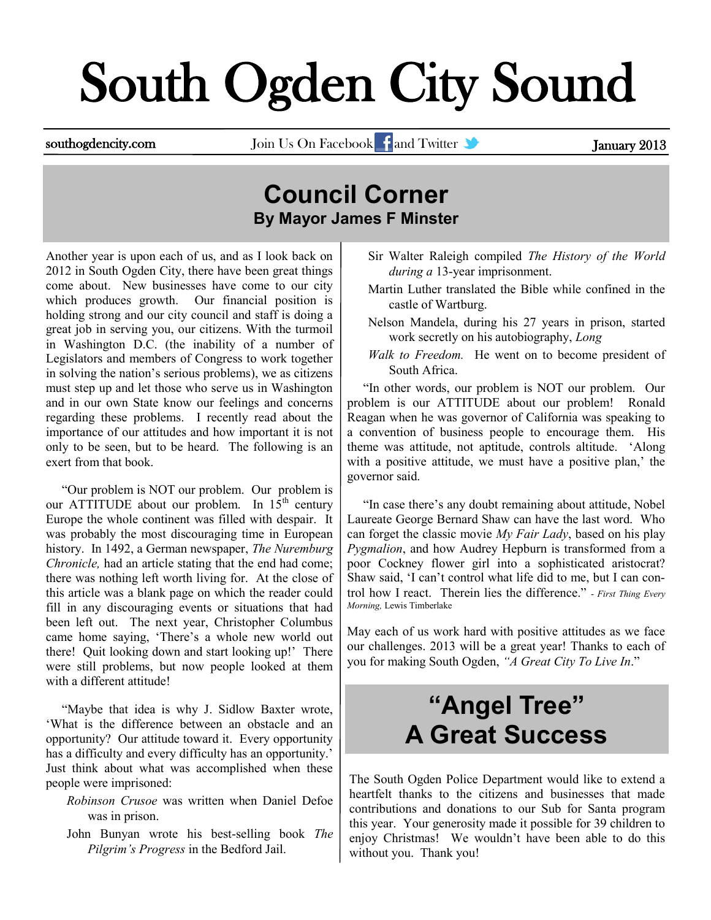# South Ogden City Sound

southogdencity.com Join Us On Facebook and Twitter **of American States and Twitter** January 2013

#### **Council Corner By Mayor James F Minster**

Another year is upon each of us, and as I look back on 2012 in South Ogden City, there have been great things come about. New businesses have come to our city which produces growth. Our financial position is holding strong and our city council and staff is doing a great job in serving you, our citizens. With the turmoil in Washington D.C. (the inability of a number of Legislators and members of Congress to work together in solving the nation's serious problems), we as citizens must step up and let those who serve us in Washington and in our own State know our feelings and concerns regarding these problems. I recently read about the importance of our attitudes and how important it is not only to be seen, but to be heard. The following is an exert from that book.

 "Our problem is NOT our problem. Our problem is our ATTITUDE about our problem. In  $15<sup>th</sup>$  century Europe the whole continent was filled with despair. It was probably the most discouraging time in European history. In 1492, a German newspaper, *The Nuremburg Chronicle,* had an article stating that the end had come; there was nothing left worth living for. At the close of this article was a blank page on which the reader could fill in any discouraging events or situations that had been left out. The next year, Christopher Columbus came home saying, 'There's a whole new world out there! Quit looking down and start looking up!' There were still problems, but now people looked at them with a different attitude!

 "Maybe that idea is why J. Sidlow Baxter wrote, 'What is the difference between an obstacle and an opportunity? Our attitude toward it. Every opportunity has a difficulty and every difficulty has an opportunity.' Just think about what was accomplished when these people were imprisoned:

- *Robinson Crusoe* was written when Daniel Defoe was in prison.
- John Bunyan wrote his best-selling book *The Pilgrim's Progress* in the Bedford Jail.
- Sir Walter Raleigh compiled *The History of the World during a* 13-year imprisonment.
- Martin Luther translated the Bible while confined in the castle of Wartburg.
- Nelson Mandela, during his 27 years in prison, started work secretly on his autobiography, *Long*
- *Walk to Freedom.* He went on to become president of South Africa.

 "In other words, our problem is NOT our problem. Our problem is our ATTITUDE about our problem! Ronald Reagan when he was governor of California was speaking to a convention of business people to encourage them. His theme was attitude, not aptitude, controls altitude. 'Along with a positive attitude, we must have a positive plan,' the governor said.

 "In case there's any doubt remaining about attitude, Nobel Laureate George Bernard Shaw can have the last word. Who can forget the classic movie *My Fair Lady*, based on his play *Pygmalion*, and how Audrey Hepburn is transformed from a poor Cockney flower girl into a sophisticated aristocrat? Shaw said, 'I can't control what life did to me, but I can control how I react. Therein lies the difference." - *First Thing Every Morning,* Lewis Timberlake

May each of us work hard with positive attitudes as we face our challenges. 2013 will be a great year! Thanks to each of you for making South Ogden, *"A Great City To Live In*."

### **"Angel Tree" A Great Success**

The South Ogden Police Department would like to extend a heartfelt thanks to the citizens and businesses that made contributions and donations to our Sub for Santa program this year. Your generosity made it possible for 39 children to enjoy Christmas! We wouldn't have been able to do this without you. Thank you!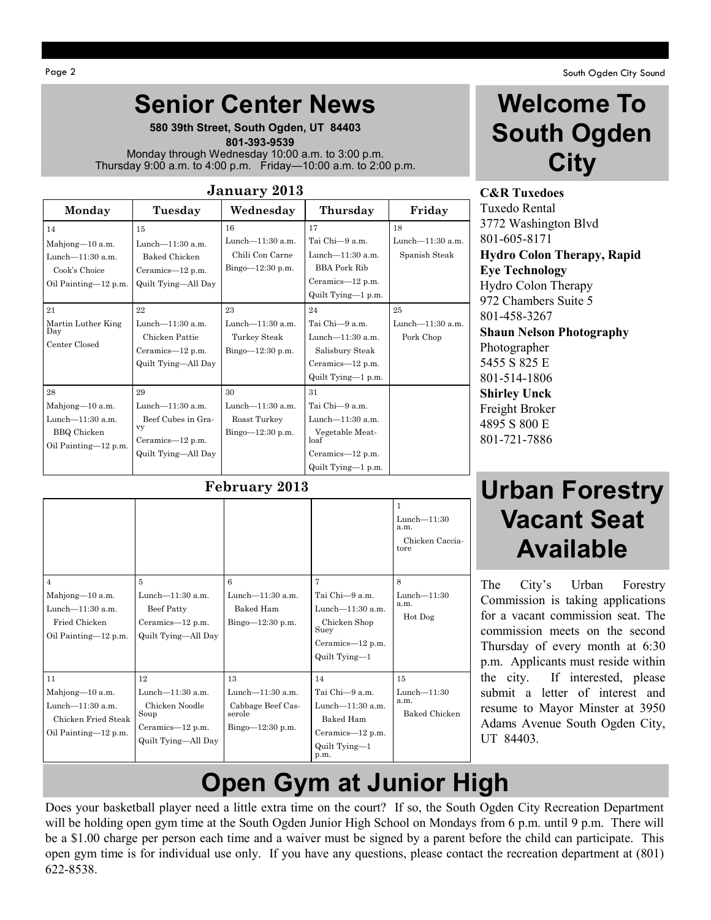Page 2 South Ogden City Sound Number 2 South Ogden City Sound Number 2 South Ogden City Sound Number 2 South Ogden City Sound Number 2 South Ogden City Sound Number 2 South Ogden City Sound Number 2 South Ogden City Sound

#### **Senior Center News**

**580 39th Street, South Ogden, UT 84403**  **801-393-9539** Monday through Wednesday 10:00 a.m. to 3:00 p.m. Thursday 9:00 a.m. to 4:00 p.m. Friday—10:00 a.m. to 2:00 p.m.

| January 2013                                                                               |                                                                                               |                                                                 |                                                                                                                   |                                         |  |  |
|--------------------------------------------------------------------------------------------|-----------------------------------------------------------------------------------------------|-----------------------------------------------------------------|-------------------------------------------------------------------------------------------------------------------|-----------------------------------------|--|--|
| Monday                                                                                     | Tuesday                                                                                       | Wednesday                                                       | Thursday                                                                                                          | Friday                                  |  |  |
| 14<br>Mahjong-10 a.m.<br>Lunch-11:30 a.m.<br>Cook's Choice<br>Oil Painting-12 p.m.         | 15<br>Lunch-11:30 a.m.<br>Baked Chicken<br>Ceramics-12 p.m.<br>Quilt Tying-All Day            | 16<br>Lunch-11:30 a.m.<br>Chili Con Carne<br>$Bingo=12:30 p.m.$ | 17<br>Tai Chi-9 a.m.<br>Lunch- $11:30$ a.m.<br><b>BBA Pork Rib</b><br>Ceramics-12 p.m.<br>Quilt Tying-1 p.m.      | 18<br>Lunch-11:30 a.m.<br>Spanish Steak |  |  |
| 21<br>Martin Luther King<br>Day<br>Center Closed                                           | 22<br>Lunch-11:30 a.m.<br>Chicken Pattie<br>Ceramics— $12$ p.m.<br>Quilt Tying-All Day        | 23<br>Lunch-11:30 a.m.<br>Turkey Steak<br>Bingo $-12:30$ p.m.   | 24<br>Tai Chi-9 a.m.<br>Lunch $-11:30$ a.m.<br>Salisbury Steak<br>Ceramics-12 p.m.<br>Quilt Tying-1 p.m.          | 25<br>Lunch-11:30 a.m.<br>Pork Chop     |  |  |
| 28<br>Mahjong-10 a.m.<br>Lunch $-11:30$ a.m.<br><b>BBQ</b> Chicken<br>Oil Painting-12 p.m. | 29<br>Lunch-11:30 a.m.<br>Beef Cubes in Gra-<br>vy<br>Ceramics-12 p.m.<br>Quilt Tying-All Day | 30<br>Lunch-11:30 a.m.<br>Roast Turkey<br>Bingo $-12:30$ p.m.   | 31<br>Tai Chi-9 a.m.<br>Lunch-11:30 a.m.<br>Vegetable Meat-<br>$\log f$<br>Ceramics-12 p.m.<br>Quilt Tying-1 p.m. |                                         |  |  |

#### **February 2013**

|                                                                                                   |                                                                                                |                                                                                |                                                                                                         | $\mathbf{1}$<br>$Lunch=11:30$<br>a.m.<br>Chicken Caccia-<br>tore |
|---------------------------------------------------------------------------------------------------|------------------------------------------------------------------------------------------------|--------------------------------------------------------------------------------|---------------------------------------------------------------------------------------------------------|------------------------------------------------------------------|
| $\overline{4}$<br>Mahjong-10 a.m.<br>Lunch $-11:30$ a.m.<br>Fried Chicken<br>Oil Painting-12 p.m. | $\overline{5}$<br>Lunch- $11:30$ a.m.<br>Beef Patty<br>Ceramics-12 p.m.<br>Quilt Tying—All Day | 6<br>Lunch-11:30 a.m.<br>Baked Ham<br>$Bingo=12:30 p.m.$                       | 7<br>Tai Chi-9 a.m.<br>Lunch- $11:30$ a.m.<br>Chicken Shop<br>Suey<br>Ceramics-12 p.m.<br>Quilt Tying-1 | 8<br>$Lunch-11:30$<br>a.m.<br>Hot Dog                            |
| 11<br>Mahjong-10 a.m.<br>Lunch $-11:30$ a.m.<br>Chicken Fried Steak<br>Oil Painting-12 p.m.       | 12<br>Lunch-11:30 a.m.<br>Chicken Noodle<br>Soup<br>Ceramics-12 p.m.<br>Quilt Tying—All Day    | 13<br>Lunch $-11:30$ a.m.<br>Cabbage Beef Cas-<br>serole<br>$Bingo=12:30 p.m.$ | 14<br>Tai Chi-9 a.m.<br>Lunch $-11:30$ a.m.<br>Baked Ham<br>Ceramics-12 p.m.<br>Quilt Tying-1<br>p.m.   | 15<br>$Lunch=11:30$<br>a.m.<br>Baked Chicken                     |

### **Welcome To South Ogden City**

**C&R Tuxedoes** Tuxedo Rental 3772 Washington Blvd 801-605-8171 **Hydro Colon Therapy, Rapid Eye Technology** Hydro Colon Therapy 972 Chambers Suite 5 801-458-3267 **Shaun Nelson Photography** Photographer 5455 S 825 E 801-514-1806 **Shirley Unck** Freight Broker 4895 S 800 E 801-721-7886

#### **Urban Forestry Vacant Seat Available**

The City's Urban Forestry Commission is taking applications for a vacant commission seat. The commission meets on the second Thursday of every month at 6:30 p.m. Applicants must reside within the city. If interested, please submit a letter of interest and resume to Mayor Minster at 3950 Adams Avenue South Ogden City, UT 84403.

## **Open Gym at Junior High**

Does your basketball player need a little extra time on the court? If so, the South Ogden City Recreation Department will be holding open gym time at the South Ogden Junior High School on Mondays from 6 p.m. until 9 p.m. There will be a \$1.00 charge per person each time and a waiver must be signed by a parent before the child can participate. This open gym time is for individual use only. If you have any questions, please contact the recreation department at (801) 622-8538.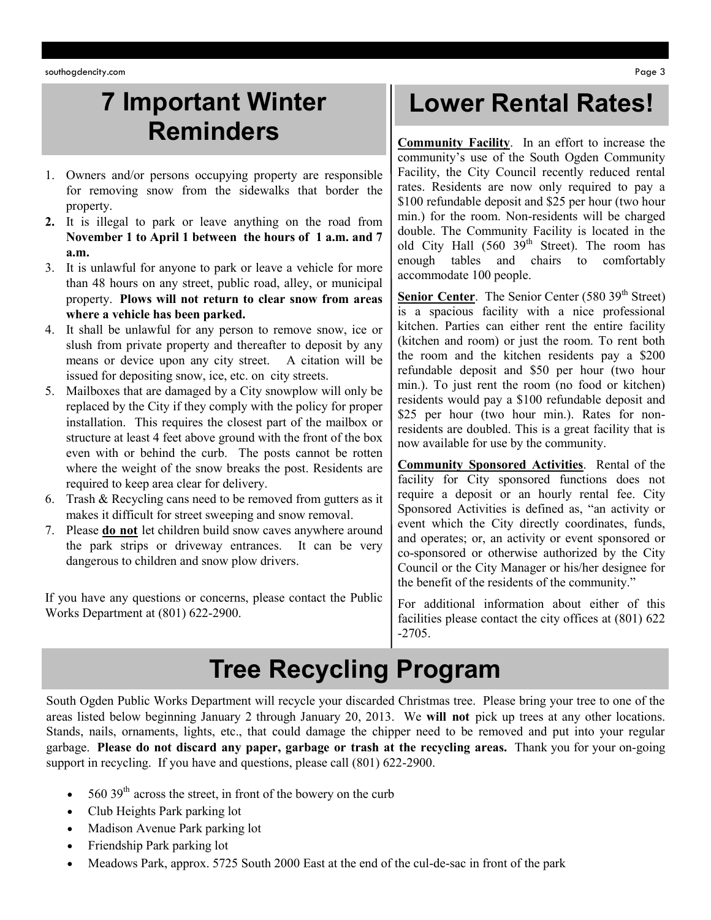southogdencity.com Page 3

#### **7 Important Winter Reminders**

- 1. Owners and/or persons occupying property are responsible for removing snow from the sidewalks that border the property.
- **2.** It is illegal to park or leave anything on the road from **November 1 to April 1 between the hours of 1 a.m. and 7 a.m.**
- 3. It is unlawful for anyone to park or leave a vehicle for more than 48 hours on any street, public road, alley, or municipal property. **Plows will not return to clear snow from areas where a vehicle has been parked.**
- 4. It shall be unlawful for any person to remove snow, ice or slush from private property and thereafter to deposit by any means or device upon any city street. A citation will be issued for depositing snow, ice, etc. on city streets.
- 5. Mailboxes that are damaged by a City snowplow will only be replaced by the City if they comply with the policy for proper installation. This requires the closest part of the mailbox or structure at least 4 feet above ground with the front of the box even with or behind the curb. The posts cannot be rotten where the weight of the snow breaks the post. Residents are required to keep area clear for delivery.
- 6. Trash & Recycling cans need to be removed from gutters as it makes it difficult for street sweeping and snow removal.
- 7. Please **do not** let children build snow caves anywhere around the park strips or driveway entrances. It can be very dangerous to children and snow plow drivers.

If you have any questions or concerns, please contact the Public Works Department at (801) 622-2900.

#### **Lower Rental Rates!**

**Community Facility**. In an effort to increase the community's use of the South Ogden Community Facility, the City Council recently reduced rental rates. Residents are now only required to pay a \$100 refundable deposit and \$25 per hour (two hour min.) for the room. Non-residents will be charged double. The Community Facility is located in the old City Hall (560 39<sup>th</sup> Street). The room has enough tables and chairs to comfortably accommodate 100 people.

**Senior Center.** The Senior Center (580 39<sup>th</sup> Street) is a spacious facility with a nice professional kitchen. Parties can either rent the entire facility (kitchen and room) or just the room. To rent both the room and the kitchen residents pay a \$200 refundable deposit and \$50 per hour (two hour min.). To just rent the room (no food or kitchen) residents would pay a \$100 refundable deposit and \$25 per hour (two hour min.). Rates for nonresidents are doubled. This is a great facility that is now available for use by the community.

**Community Sponsored Activities**. Rental of the facility for City sponsored functions does not require a deposit or an hourly rental fee. City Sponsored Activities is defined as, "an activity or event which the City directly coordinates, funds, and operates; or, an activity or event sponsored or co-sponsored or otherwise authorized by the City Council or the City Manager or his/her designee for the benefit of the residents of the community."

For additional information about either of this facilities please contact the city offices at (801) 622 -2705.

## **Tree Recycling Program**

South Ogden Public Works Department will recycle your discarded Christmas tree. Please bring your tree to one of the areas listed below beginning January 2 through January 20, 2013. We **will not** pick up trees at any other locations. Stands, nails, ornaments, lights, etc., that could damage the chipper need to be removed and put into your regular garbage. **Please do not discard any paper, garbage or trash at the recycling areas.** Thank you for your on-going support in recycling. If you have and questions, please call (801) 622-2900.

- $560$  39<sup>th</sup> across the street, in front of the bowery on the curb
- Club Heights Park parking lot
- Madison Avenue Park parking lot
- Friendship Park parking lot
- Meadows Park, approx. 5725 South 2000 East at the end of the cul-de-sac in front of the park